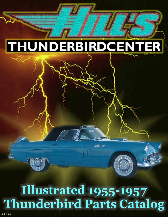# **THUNDERBIRDCENTER**

# Illustrated 1955-1957 **Thunderbird Parts Catalog**

WWW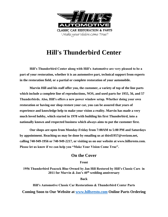

## **Hill's Thunderbird Center**

**Hill's Thunderbird Center along with Hill's Automotive are very pleased to be a part of your restoration, whether it is an automotive part, technical support from experts in the restoration field, or a partial or complete restoration of your automobile.** 

**Marvin Hill and his staff offer you, the customer, a variety of top of the line parts which include a complete line of reproductions, NOS, and used parts for 1955, 56, and 57 Thunderbirds. Also, Hill's offers a new power window setup. Whether doing your own restoration or having our shop restore your car, you can be assured that years of experience and knowledge help to make your vision a reality. Marvin has made a very much loved hobby, which started in 1978 with building his first Thunderbird, into a nationally known and respected business which always aims to put the customer first.** 

**Our shops are open from Monday-Friday from 7:00AM to 5:00 PM and Saturdays by appointment. Reaching us may be done by emailing us at tbird1957@verizon.net, calling 740-949-1956 or 740-949-2217, or visiting us on our website at www.hillsresto.com. Please let us know if we can help you "Make Your Vision Come True".**

### **On the Cover**

### **Front**

**1956 Thunderbird Peacock Blue Owned by Jan Hill Restored by Hill's Classic Cars in 2011 for Marvin & Jan's 40th wedding anniversary**

**Back**

**Hill's Automotive Classic Car Restorations & Thunderbird Center Parts Coming Soon to Our Website at [www.hillsresto.com](http://www.hillsresto.com/) Online Parts Ordering**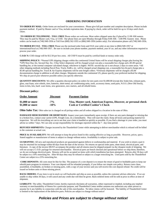#### **ORDERING INFORMATION**

**TO ORDER BY MAIL:** Order forms are enclosed for your convenience. Please give full part number and complete description. Please include payment method. If paid by Master card or Visa, include expiration date. If paying by check, order will be held for up to 10 days until check clears.

**TO ORDER BY TELEPHONE - TOLL FREE** Phone orders are welcome. Most orders shipped same day if placed by 11:00 AM eastern. They may be paid by Master card, Visa, or COD. Our phone lines are open Monday through Friday 8:00 AM. - 5:00 PM. Eastern time. Phone orders can be made at (740) 949-1956 or Toll Free (800) 562-1955 or (866) 949-1956 (orders only). For information please call (740) 949-1956**.** 

**TO ORDER BY FAX - TOLL FREE** Please use the enclosed order form and FAX your order at any time to (866) 949-1957 or international/local at (740) 949-1957. Be sure to include your phone number, payment method, year of car, and any other information required to process your order.

**C.O.D.'S:** COD charge will be \$12.50 per box extra. All COD'S must be paid by certified funds or money order only.

**SHIPPING POLICY:** \*Normal UPS shipping charges within the continental United States will be actual shipping charges plus boxing fee. \*UPS Next Day Air, Second Day Air, 3 Day Select shipments will be charged actual cost plus a reasonable box charge and a \$5.00 special handling fee, or the normal computer calculated charge, whichever is higher. NOTE: second day air is not always 2 days in some areas. \*All other shipping methods including Parcel Post, Truck, FedEx, etc. will be charged actual shipping cost, a reasonable box & pack charge plus a \$5.00 special handling fee. Truck & Air Express shipments will be sent freight collect. \*Overseas shipments will be charged a \$5.00 documentation charge in addition to all other charges. Shipments outside the continental US, please specify your preferred method for shipping. We ship air parcel post whenever possible unless you specify otherwise.

**QUANTITY DISCOUNTS:** We offer a quantity discount policy on orders for new parts over \$1,000.00 (except disc brake kits, exhaust parts, glass, seat foam, wire wheels, tires, batteries, sheet metal, air conditioning units, tools, accessory items, used parts, N.O.S. (New Old Stock), items in kits, kits, hard- ware items, new generators, new starters, and all rebuild items.

#### **Discount policy:**

| <b>Order Amount</b> | <b>Discount</b> | <b>Payment Option</b>                                            |
|---------------------|-----------------|------------------------------------------------------------------|
| \$1,000 or more     | $-7\%$          | Visa, Master card, American Express, Discover, or personal check |
| \$1,000 or more     | $-10\%$         | <b>Cash or Certified Cashier's Check</b>                         |

**Ohio Sales Tax**: Ohio sales tax is charged on all pickup orders and all orders shipped to a location in the state of Ohio.

**DAMAGED MERCHANDISE OR SHORTAGES:** Inspect your parts immediately upon receipt, if there are any parts damaged or missing due to a broken box, contact your carrier (UPS, Freight Line, etc.) immediately. They will start the claim. Keep all boxes and packing material for inspection. We will do everything we can to see that your claim is handled as quickly as possible. If you find a shortage in your order, you must advise us within 7 days. We can only accept responsibility for shortages reported within the 7 - day time period.

**REFUSED SHIPMENTS:** Charges incurred by the Thunderbird Center while attempting to deliver merchandise which is refused will be billed to the customer at actual cost.

**PRICE & AVAILABILITY:** We will attempt to keep the prices listed in this catalog effective as long as possible. However, prices, specs. Stated supplier or manufacturer of items is subject to change without notice. Availability is subject to prior sale.

**GUARANTEE:** All new and reproduced products are guaranteed against defects in workmanship and material. If you wish to return a part it may be returned for exchange within 60 days from the date of the invoice. No returns on special order parts, sheet metal, electrical parts, and literature. A copy of the invoice MUST accompany the product and all returns must be shipped prepaid via the cheapest mode of shipping. We will not accept a C.O.D. package for returned merchandise. Electrical parts are bench checked and operational before we ship them; therefore, we do not exchange electrical parts. Returns will not be accepted on items with which installation has been attempted. Returns after 30 days will be subject to a 10% restocking fee. After 60 days they may be refused or subject to a larger restocking fee. Used parts sold by the Thunderbird Center are subject to a 25% restocking fee.

**CORE DEPOSITS:** All cores must be like for like. The purpose of a core deposit is to ensure the return of good re-buildable parts to keep our rebuild parts program in existence. Your core deposit will be refunded promptly, if you follow our simple core policy. Return cores clean, assembled, re-buildable, no broken or missing parts, with a copy of your invoice and you will receive the core deposit refund. No credit will be issued on broken units or those missing pieces.

**BACK ORDERS:** If any item is not in stock we will backorder and ship as soon as possible, unless the customer advises otherwise. If we are unable to ship within 30 days, it will cancel and any credit due will then be given. Back-ordered items will be sold at price in effect at time of shipment.

**LIABILITY:** The seller, Thunderbird Center, hereby expressly disclaims all warranties, either expressed or implied, including any implied warranty or merchantability of fitness for a particular purpose, and Thunderbird Center neither assumes nor authorizes any other person to assume for it any liability in connection with the sale of this merchandise. No labor claims will be honored. The liability of Thunderbird Center is limited to the replacement of the defective parts. Policies are subject to change without notice!

#### *Policies and Prices are subject to change without notice!*